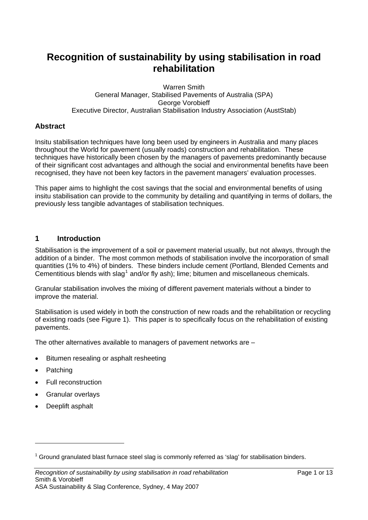# **Recognition of sustainability by using stabilisation in road rehabilitation**

#### Warren Smith General Manager, Stabilised Pavements of Australia (SPA) George Vorobieff Executive Director, Australian Stabilisation Industry Association (AustStab)

### **Abstract**

Insitu stabilisation techniques have long been used by engineers in Australia and many places throughout the World for pavement (usually roads) construction and rehabilitation. These techniques have historically been chosen by the managers of pavements predominantly because of their significant cost advantages and although the social and environmental benefits have been recognised, they have not been key factors in the pavement managers' evaluation processes.

This paper aims to highlight the cost savings that the social and environmental benefits of using insitu stabilisation can provide to the community by detailing and quantifying in terms of dollars, the previously less tangible advantages of stabilisation techniques.

### **1 Introduction**

Stabilisation is the improvement of a soil or pavement material usually, but not always, through the addition of a binder. The most common methods of stabilisation involve the incorporation of small quantities (1% to 4%) of binders. These binders include cement (Portland, Blended Cements and Cementitious blends with slag<sup>[1](#page-0-0)</sup> and/or fly ash); lime; bitumen and miscellaneous chemicals.

Granular stabilisation involves the mixing of different pavement materials without a binder to improve the material.

Stabilisation is used widely in both the construction of new roads and the rehabilitation or recycling of existing roads (see Figure 1). This paper is to specifically focus on the rehabilitation of existing pavements.

The other alternatives available to managers of pavement networks are –

- Bitumen resealing or asphalt resheeting
- Patching

 $\overline{a}$ 

- Full reconstruction
- Granular overlays
- Deeplift asphalt

<span id="page-0-0"></span> $1$  Ground granulated blast furnace steel slag is commonly referred as 'slag' for stabilisation binders.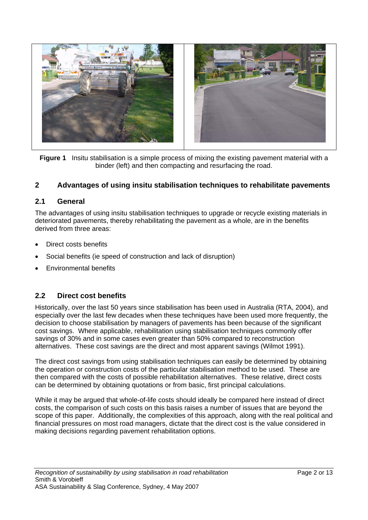

**Figure 1** Insitu stabilisation is a simple process of mixing the existing pavement material with a binder (left) and then compacting and resurfacing the road.

### **2 Advantages of using insitu stabilisation techniques to rehabilitate pavements**

### **2.1 General**

The advantages of using insitu stabilisation techniques to upgrade or recycle existing materials in deteriorated pavements, thereby rehabilitating the pavement as a whole, are in the benefits derived from three areas:

- Direct costs benefits
- Social benefits (ie speed of construction and lack of disruption)
- Environmental benefits

### **2.2 Direct cost benefits**

Historically, over the last 50 years since stabilisation has been used in Australia (RTA, 2004), and especially over the last few decades when these techniques have been used more frequently, the decision to choose stabilisation by managers of pavements has been because of the significant cost savings. Where applicable, rehabilitation using stabilisation techniques commonly offer savings of 30% and in some cases even greater than 50% compared to reconstruction alternatives. These cost savings are the direct and most apparent savings (Wilmot 1991).

The direct cost savings from using stabilisation techniques can easily be determined by obtaining the operation or construction costs of the particular stabilisation method to be used. These are then compared with the costs of possible rehabilitation alternatives. These relative, direct costs can be determined by obtaining quotations or from basic, first principal calculations.

While it may be argued that whole-of-life costs should ideally be compared here instead of direct costs, the comparison of such costs on this basis raises a number of issues that are beyond the scope of this paper. Additionally, the complexities of this approach, along with the real political and financial pressures on most road managers, dictate that the direct cost is the value considered in making decisions regarding pavement rehabilitation options.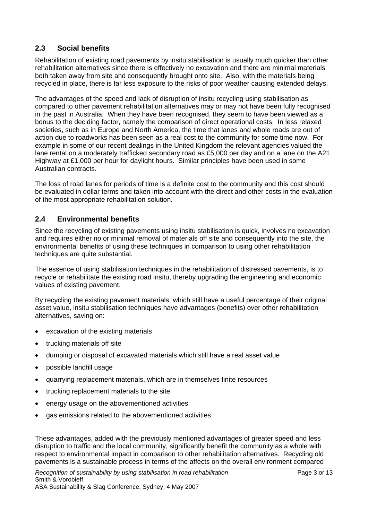### **2.3 Social benefits**

Rehabilitation of existing road pavements by insitu stabilisation is usually much quicker than other rehabilitation alternatives since there is effectively no excavation and there are minimal materials both taken away from site and consequently brought onto site. Also, with the materials being recycled in place, there is far less exposure to the risks of poor weather causing extended delays.

The advantages of the speed and lack of disruption of insitu recycling using stabilisation as compared to other pavement rehabilitation alternatives may or may not have been fully recognised in the past in Australia. When they have been recognised, they seem to have been viewed as a bonus to the deciding factor, namely the comparison of direct operational costs. In less relaxed societies, such as in Europe and North America, the time that lanes and whole roads are out of action due to roadworks has been seen as a real cost to the community for some time now. For example in some of our recent dealings in the United Kingdom the relevant agencies valued the lane rental on a moderately trafficked secondary road as £5,000 per day and on a lane on the A21 Highway at £1,000 per hour for daylight hours. Similar principles have been used in some Australian contracts.

The loss of road lanes for periods of time is a definite cost to the community and this cost should be evaluated in dollar terms and taken into account with the direct and other costs in the evaluation of the most appropriate rehabilitation solution.

### **2.4 Environmental benefits**

Since the recycling of existing pavements using insitu stabilisation is quick, involves no excavation and requires either no or minimal removal of materials off site and consequently into the site, the environmental benefits of using these techniques in comparison to using other rehabilitation techniques are quite substantial.

The essence of using stabilisation techniques in the rehabilitation of distressed pavements, is to recycle or rehabilitate the existing road insitu, thereby upgrading the engineering and economic values of existing pavement.

By recycling the existing pavement materials, which still have a useful percentage of their original asset value, insitu stabilisation techniques have advantages (benefits) over other rehabilitation alternatives, saving on:

- excavation of the existing materials
- trucking materials off site
- dumping or disposal of excavated materials which still have a real asset value
- possible landfill usage
- quarrying replacement materials, which are in themselves finite resources
- trucking replacement materials to the site
- energy usage on the abovementioned activities
- gas emissions related to the abovementioned activities

These advantages, added with the previously mentioned advantages of greater speed and less disruption to traffic and the local community, significantly benefit the community as a whole with respect to environmental impact in comparison to other rehabilitation alternatives. Recycling old pavements is a sustainable process in terms of the affects on the overall environment compared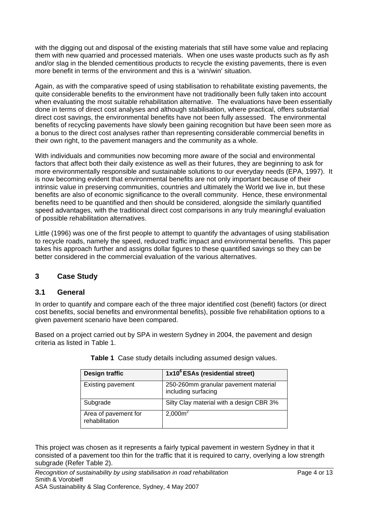with the digging out and disposal of the existing materials that still have some value and replacing them with new quarried and processed materials. When one uses waste products such as fly ash and/or slag in the blended cementitious products to recycle the existing pavements, there is even more benefit in terms of the environment and this is a 'win/win' situation.

Again, as with the comparative speed of using stabilisation to rehabilitate existing pavements, the quite considerable benefits to the environment have not traditionally been fully taken into account when evaluating the most suitable rehabilitation alternative. The evaluations have been essentially done in terms of direct cost analyses and although stabilisation, where practical, offers substantial direct cost savings, the environmental benefits have not been fully assessed. The environmental benefits of recycling pavements have slowly been gaining recognition but have been seen more as a bonus to the direct cost analyses rather than representing considerable commercial benefits in their own right, to the pavement managers and the community as a whole.

With individuals and communities now becoming more aware of the social and environmental factors that affect both their daily existence as well as their futures, they are beginning to ask for more environmentally responsible and sustainable solutions to our everyday needs (EPA, 1997). It is now becoming evident that environmental benefits are not only important because of their intrinsic value in preserving communities, countries and ultimately the World we live in, but these benefits are also of economic significance to the overall community. Hence, these environmental benefits need to be quantified and then should be considered, alongside the similarly quantified speed advantages, with the traditional direct cost comparisons in any truly meaningful evaluation of possible rehabilitation alternatives.

Little (1996) was one of the first people to attempt to quantify the advantages of using stabilisation to recycle roads, namely the speed, reduced traffic impact and environmental benefits. This paper takes his approach further and assigns dollar figures to these quantified savings so they can be better considered in the commercial evaluation of the various alternatives.

## **3 Case Study**

## **3.1 General**

In order to quantify and compare each of the three major identified cost (benefit) factors (or direct cost benefits, social benefits and environmental benefits), possible five rehabilitation options to a given pavement scenario have been compared.

Based on a project carried out by SPA in western Sydney in 2004, the pavement and design criteria as listed in Table 1.

| Design traffic                         | 1x10 <sup>6</sup> ESAs (residential street)                 |
|----------------------------------------|-------------------------------------------------------------|
| <b>Existing pavement</b>               | 250-260mm granular pavement material<br>including surfacing |
| Subgrade                               | Silty Clay material with a design CBR 3%                    |
| Area of pavement for<br>rehabilitation | $2,000m^2$                                                  |

**Table 1** Case study details including assumed design values.

This project was chosen as it represents a fairly typical pavement in western Sydney in that it consisted of a pavement too thin for the traffic that it is required to carry, overlying a low strength subgrade (Refer Table 2).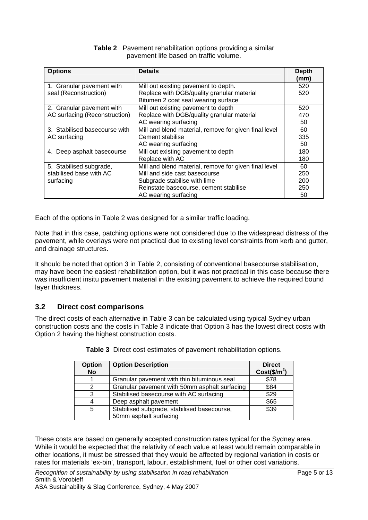| <b>Table 2</b> Pavement rehabilitation options providing a similar |
|--------------------------------------------------------------------|
| pavement life based on traffic volume.                             |

| <b>Options</b>                | <b>Details</b>                                        | <b>Depth</b><br>(mm) |
|-------------------------------|-------------------------------------------------------|----------------------|
| 1. Granular pavement with     | Mill out existing pavement to depth.                  | 520                  |
| seal (Reconstruction)         | Replace with DGB/quality granular material            | 520                  |
|                               | Bitumen 2 coat seal wearing surface                   |                      |
| 2. Granular pavement with     | Mill out existing pavement to depth                   | 520                  |
| AC surfacing (Reconstruction) | Replace with DGB/quality granular material            | 470                  |
|                               | AC wearing surfacing                                  | 50                   |
| 3. Stabilised basecourse with | Mill and blend material, remove for given final level | 60                   |
| AC surfacing                  | Cement stabilise                                      | 335                  |
|                               | AC wearing surfacing                                  | 50                   |
| 4. Deep asphalt basecourse    | Mill out existing pavement to depth                   | 180                  |
|                               | Replace with AC                                       | 180                  |
| 5. Stabilised subgrade,       | Mill and blend material, remove for given final level | 60                   |
| stabilised base with AC       | Mill and side cast basecourse                         | 250                  |
| surfacing                     | Subgrade stabilise with lime                          | 200                  |
|                               | Reinstate basecourse, cement stabilise                | 250                  |
|                               | AC wearing surfacing                                  | 50                   |

Each of the options in Table 2 was designed for a similar traffic loading.

Note that in this case, patching options were not considered due to the widespread distress of the pavement, while overlays were not practical due to existing level constraints from kerb and gutter, and drainage structures.

It should be noted that option 3 in Table 2, consisting of conventional basecourse stabilisation, may have been the easiest rehabilitation option, but it was not practical in this case because there was insufficient insitu pavement material in the existing pavement to achieve the required bound layer thickness.

## **3.2 Direct cost comparisons**

The direct costs of each alternative in Table 3 can be calculated using typical Sydney urban construction costs and the costs in Table 3 indicate that Option 3 has the lowest direct costs with Option 2 having the highest construction costs.

| <b>Option</b><br><b>No</b> | <b>Option Description</b>                     | <b>Direct</b><br>$Cost($/m^2)$ |
|----------------------------|-----------------------------------------------|--------------------------------|
|                            | Granular pavement with thin bituminous seal   | \$78                           |
| 2                          | Granular pavement with 50mm asphalt surfacing | \$84                           |
| 3                          | Stabilised basecourse with AC surfacing       | \$29                           |
| 4                          | Deep asphalt pavement                         | \$65                           |
| 5                          | Stabilised subgrade, stabilised basecourse,   | \$39                           |
|                            | 50mm asphalt surfacing                        |                                |

**Table 3** Direct cost estimates of pavement rehabilitation options.

These costs are based on generally accepted construction rates typical for the Sydney area. While it would be expected that the relativity of each value at least would remain comparable in other locations, it must be stressed that they would be affected by regional variation in costs or rates for materials 'ex-bin', transport, labour, establishment, fuel or other cost variations.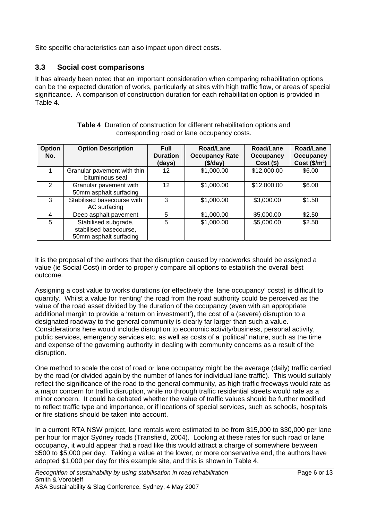Site specific characteristics can also impact upon direct costs.

### **3.3 Social cost comparisons**

It has already been noted that an important consideration when comparing rehabilitation options can be the expected duration of works, particularly at sites with high traffic flow, or areas of special significance. A comparison of construction duration for each rehabilitation option is provided in Table 4.

| Option<br>No. | <b>Option Description</b>                                                | <b>Full</b><br><b>Duration</b><br>(days) | Road/Lane<br><b>Occupancy Rate</b><br>(\$/day) | Road/Lane<br><b>Occupancy</b><br>$Cost($ \$) | Road/Lane<br><b>Occupancy</b><br>Cost $($/m^2$)$ |
|---------------|--------------------------------------------------------------------------|------------------------------------------|------------------------------------------------|----------------------------------------------|--------------------------------------------------|
|               | Granular pavement with thin<br>bituminous seal                           | 12                                       | \$1,000.00                                     | \$12,000.00                                  | \$6.00                                           |
| $\mathcal{P}$ | Granular pavement with<br>50mm asphalt surfacing                         | 12                                       | \$1,000.00                                     | \$12,000.00                                  | \$6.00                                           |
| 3             | Stabilised basecourse with<br>AC surfacing                               | 3                                        | \$1,000.00                                     | \$3,000.00                                   | \$1.50                                           |
| 4             | Deep asphalt pavement                                                    | 5                                        | \$1,000.00                                     | \$5,000.00                                   | \$2.50                                           |
| 5             | Stabilised subgrade,<br>stabilised basecourse,<br>50mm asphalt surfacing | 5                                        | \$1,000.00                                     | \$5,000.00                                   | \$2.50                                           |

**Table 4** Duration of construction for different rehabilitation options and corresponding road or lane occupancy costs.

It is the proposal of the authors that the disruption caused by roadworks should be assigned a value (ie Social Cost) in order to properly compare all options to establish the overall best outcome.

Assigning a cost value to works durations (or effectively the 'lane occupancy' costs) is difficult to quantify. Whilst a value for 'renting' the road from the road authority could be perceived as the value of the road asset divided by the duration of the occupancy (even with an appropriate additional margin to provide a 'return on investment'), the cost of a (severe) disruption to a designated roadway to the general community is clearly far larger than such a value. Considerations here would include disruption to economic activity/business, personal activity, public services, emergency services etc. as well as costs of a 'political' nature, such as the time and expense of the governing authority in dealing with community concerns as a result of the disruption.

One method to scale the cost of road or lane occupancy might be the average (daily) traffic carried by the road (or divided again by the number of lanes for individual lane traffic). This would suitably reflect the significance of the road to the general community, as high traffic freeways would rate as a major concern for traffic disruption, while no through traffic residential streets would rate as a minor concern. It could be debated whether the value of traffic values should be further modified to reflect traffic type and importance, or if locations of special services, such as schools, hospitals or fire stations should be taken into account.

In a current RTA NSW project, lane rentals were estimated to be from \$15,000 to \$30,000 per lane per hour for major Sydney roads (Transfield, 2004). Looking at these rates for such road or lane occupancy, it would appear that a road like this would attract a charge of somewhere between \$500 to \$5,000 per day. Taking a value at the lower, or more conservative end, the authors have adopted \$1,000 per day for this example site, and this is shown in Table 4.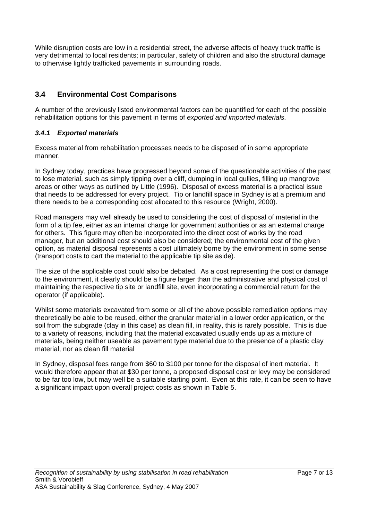While disruption costs are low in a residential street, the adverse affects of heavy truck traffic is very detrimental to local residents; in particular, safety of children and also the structural damage to otherwise lightly trafficked pavements in surrounding roads.

# **3.4 Environmental Cost Comparisons**

A number of the previously listed environmental factors can be quantified for each of the possible rehabilitation options for this pavement in terms of *exported and imported materials.* 

### *3.4.1 Exported materials*

Excess material from rehabilitation processes needs to be disposed of in some appropriate manner.

In Sydney today, practices have progressed beyond some of the questionable activities of the past to lose material, such as simply tipping over a cliff, dumping in local gullies, filling up mangrove areas or other ways as outlined by Little (1996). Disposal of excess material is a practical issue that needs to be addressed for every project. Tip or landfill space in Sydney is at a premium and there needs to be a corresponding cost allocated to this resource (Wright, 2000).

Road managers may well already be used to considering the cost of disposal of material in the form of a tip fee, either as an internal charge for government authorities or as an external charge for others. This figure may often be incorporated into the direct cost of works by the road manager, but an additional cost should also be considered; the environmental cost of the given option, as material disposal represents a cost ultimately borne by the environment in some sense (transport costs to cart the material to the applicable tip site aside).

The size of the applicable cost could also be debated. As a cost representing the cost or damage to the environment, it clearly should be a figure larger than the administrative and physical cost of maintaining the respective tip site or landfill site, even incorporating a commercial return for the operator (if applicable).

Whilst some materials excavated from some or all of the above possible remediation options may theoretically be able to be reused, either the granular material in a lower order application, or the soil from the subgrade (clay in this case) as clean fill, in reality, this is rarely possible. This is due to a variety of reasons, including that the material excavated usually ends up as a mixture of materials, being neither useable as pavement type material due to the presence of a plastic clay material, nor as clean fill material

In Sydney, disposal fees range from \$60 to \$100 per tonne for the disposal of inert material. It would therefore appear that at \$30 per tonne, a proposed disposal cost or levy may be considered to be far too low, but may well be a suitable starting point. Even at this rate, it can be seen to have a significant impact upon overall project costs as shown in Table 5.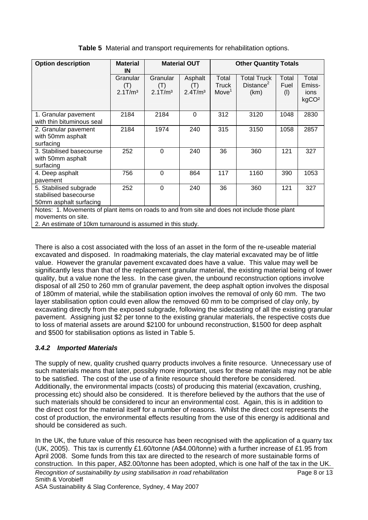| <b>Option description</b>                                                                                           | <b>Material</b><br>IN                     |                                           | <b>Material OUT</b>                      | <b>Other Quantity Totals</b>               |                                                     |                      |                                              |
|---------------------------------------------------------------------------------------------------------------------|-------------------------------------------|-------------------------------------------|------------------------------------------|--------------------------------------------|-----------------------------------------------------|----------------------|----------------------------------------------|
|                                                                                                                     | Granular<br>(T)<br>$2.1$ T/m <sup>3</sup> | Granular<br>(T)<br>$2.1$ T/m <sup>3</sup> | Asphalt<br>(1)<br>$2.4$ T/m <sup>3</sup> | Total<br><b>Truck</b><br>Move <sup>1</sup> | <b>Total Truck</b><br>Distance <sup>2</sup><br>(km) | Total<br>Fuel<br>(1) | Total<br>Emiss-<br>ions<br>kgCO <sup>2</sup> |
| 1. Granular pavement<br>with thin bituminous seal                                                                   | 2184                                      | 2184                                      | 0                                        | 312                                        | 3120                                                | 1048                 | 2830                                         |
| 2. Granular pavement<br>with 50mm asphalt<br>surfacing                                                              | 2184                                      | 1974                                      | 240                                      | 315                                        | 3150                                                | 1058                 | 2857                                         |
| 3. Stabilised basecourse<br>with 50mm asphalt<br>surfacing                                                          | 252                                       | $\Omega$                                  | 240                                      | 36                                         | 360                                                 | 121                  | 327                                          |
| 4. Deep asphalt<br>pavement                                                                                         | 756                                       | $\Omega$                                  | 864                                      | 117                                        | 1160                                                | 390                  | 1053                                         |
| 5. Stabilised subgrade<br>stabilised basecourse<br>50mm asphalt surfacing                                           | 252                                       | $\Omega$                                  | 240                                      | 36                                         | 360                                                 | 121                  | 327                                          |
| Notes: 1. Movements of plant items on roads to and from site and does not include those plant<br>movements on site. |                                           |                                           |                                          |                                            |                                                     |                      |                                              |

**Table 5** Material and transport requirements for rehabilitation options.

2. An estimate of 10km turnaround is assumed in this study.

There is also a cost associated with the loss of an asset in the form of the re-useable material excavated and disposed. In roadmaking materials, the clay material excavated may be of little value. However the granular pavement excavated does have a value. This value may well be significantly less than that of the replacement granular material, the existing material being of lower quality, but a value none the less. In the case given, the unbound reconstruction options involve disposal of all 250 to 260 mm of granular pavement, the deep asphalt option involves the disposal of 180mm of material, while the stabilisation option involves the removal of only 60 mm. The two layer stabilisation option could even allow the removed 60 mm to be comprised of clay only, by excavating directly from the exposed subgrade, following the sidecasting of all the existing granular pavement. Assigning just \$2 per tonne to the existing granular materials, the respective costs due to loss of material assets are around \$2100 for unbound reconstruction, \$1500 for deep asphalt and \$500 for stabilisation options as listed in Table 5.

## *3.4.2 Imported Materials*

The supply of new, quality crushed quarry products involves a finite resource. Unnecessary use of such materials means that later, possibly more important, uses for these materials may not be able to be satisfied. The cost of the use of a finite resource should therefore be considered. Additionally, the environmental impacts (costs) of producing this material (excavation, crushing, processing etc) should also be considered. It is therefore believed by the authors that the use of such materials should be considered to incur an environmental cost. Again, this is in addition to the direct cost for the material itself for a number of reasons. Whilst the direct cost represents the cost of production, the environmental effects resulting from the use of this energy is additional and should be considered as such.

*Recognition of sustainability by using stabilisation in road rehabilitation* Page 8 or 13 Smith & Vorobieff ASA Sustainability & Slag Conference, Sydney, 4 May 2007 In the UK, the future value of this resource has been recognised with the application of a quarry tax (UK, 2005). This tax is currently £1.60/tonne (A\$4.00/tonne) with a further increase of £1.95 from April 2008. Some funds from this tax are directed to the research of more sustainable forms of construction. In this paper, A\$2.00/tonne has been adopted, which is one half of the tax in the UK.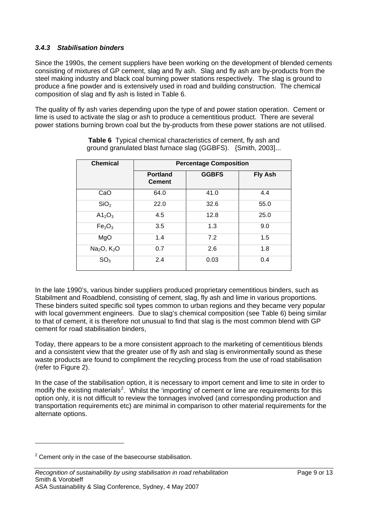#### *3.4.3 Stabilisation binders*

Since the 1990s, the cement suppliers have been working on the development of blended cements consisting of mixtures of GP cement, slag and fly ash. Slag and fly ash are by-products from the steel making industry and black coal burning power stations respectively. The slag is ground to produce a fine powder and is extensively used in road and building construction. The chemical composition of slag and fly ash is listed in Table 6.

The quality of fly ash varies depending upon the type of and power station operation. Cement or lime is used to activate the slag or ash to produce a cementitious product. There are several power stations burning brown coal but the by-products from these power stations are not utilised.

| <b>Chemical</b>                     | <b>Percentage Composition</b>    |              |                |  |  |  |  |  |
|-------------------------------------|----------------------------------|--------------|----------------|--|--|--|--|--|
|                                     | <b>Portland</b><br><b>Cement</b> | <b>GGBFS</b> | <b>Fly Ash</b> |  |  |  |  |  |
| CaO                                 | 64.0                             | 41.0         | 4.4            |  |  |  |  |  |
| SiO <sub>2</sub>                    | 22.0                             | 32.6         | 55.0           |  |  |  |  |  |
| A1 <sub>2</sub> O <sub>3</sub>      | 4.5                              | 12.8         | 25.0           |  |  |  |  |  |
| Fe <sub>2</sub> O <sub>3</sub>      | 3.5                              | 1.3          | 9.0            |  |  |  |  |  |
| MgO                                 | 1.4                              | 7.2          | 1.5            |  |  |  |  |  |
| Na <sub>2</sub> O, K <sub>2</sub> O | 0.7                              | 2.6          | 1.8            |  |  |  |  |  |
| SO <sub>3</sub>                     | 2.4                              | 0.03         | 0.4            |  |  |  |  |  |

**Table 6** Typical chemical characteristics of cement, fly ash and ground granulated blast furnace slag (GGBFS). {Smith, 2003]...

In the late 1990's, various binder suppliers produced proprietary cementitious binders, such as Stabilment and Roadblend, consisting of cement, slag, fly ash and lime in various proportions. These binders suited specific soil types common to urban regions and they became very popular with local government engineers. Due to slag's chemical composition (see Table 6) being similar to that of cement, it is therefore not unusual to find that slag is the most common blend with GP cement for road stabilisation binders,

Today, there appears to be a more consistent approach to the marketing of cementitious blends and a consistent view that the greater use of fly ash and slag is environmentally sound as these waste products are found to compliment the recycling process from the use of road stabilisation (refer to Figure 2).

In the case of the stabilisation option, it is necessary to import cement and lime to site in order to modify the existing materials<sup>[2](#page-8-0)</sup>. Whilst the 'importing' of cement or lime are requirements for this option only, it is not difficult to review the tonnages involved (and corresponding production and transportation requirements etc) are minimal in comparison to other material requirements for the alternate options.

 $\overline{a}$ 

<span id="page-8-0"></span> $2$  Cement only in the case of the basecourse stabilisation.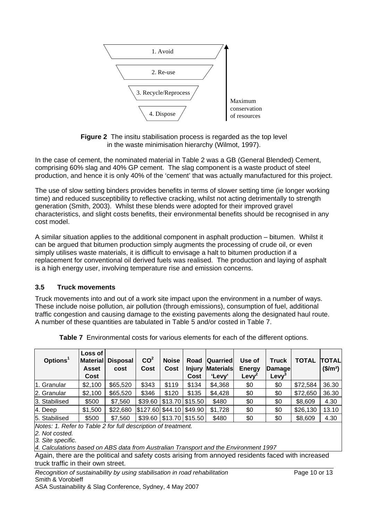

**Figure 2** The insitu stabilisation process is regarded as the top level in the waste minimisation hierarchy (Wilmot, 1997).

In the case of cement, the nominated material in Table 2 was a GB (General Blended) Cement, comprising 60% slag and 40% GP cement. The slag component is a waste product of steel production, and hence it is only 40% of the 'cement' that was actually manufactured for this project.

The use of slow setting binders provides benefits in terms of slower setting time (ie longer working time) and reduced susceptibility to reflective cracking, whilst not acting detrimentally to strength generation (Smith, 2003). Whilst these blends were adopted for their improved gravel characteristics, and slight costs benefits, their environmental benefits should be recognised in any cost model.

A similar situation applies to the additional component in asphalt production – bitumen. Whilst it can be argued that bitumen production simply augments the processing of crude oil, or even simply utilises waste materials, it is difficult to envisage a halt to bitumen production if a replacement for conventional oil derived fuels was realised. The production and laying of asphalt is a high energy user, involving temperature rise and emission concerns.

#### **3.5 Truck movements**

Truck movements into and out of a work site impact upon the environment in a number of ways. These include noise pollution, air pollution (through emissions), consumption of fuel, additional traffic congestion and causing damage to the existing pavements along the designated haul route. A number of these quantities are tabulated in Table 5 and/or costed in Table 7.

| Options <sup>1</sup> | Loss of<br><b>Material</b><br><b>Asset</b><br>Cost | <b>Disposal</b><br>cost | CO <sup>2</sup><br>Cost | <b>Noise</b><br>Cost             | Road<br><b>Injury</b><br>Cost | <b>Quarried</b><br><b>Materials</b><br>'Levy' | Use of<br><b>Energy</b><br>Levy <sup>2</sup> | <b>Truck</b><br><b>Damage</b><br>Levy | <b>TOTAL</b> | <b>TOTAL</b><br>$$/m^2$$ |
|----------------------|----------------------------------------------------|-------------------------|-------------------------|----------------------------------|-------------------------------|-----------------------------------------------|----------------------------------------------|---------------------------------------|--------------|--------------------------|
| 11. Granular         | \$2,100                                            | \$65,520                | \$343                   | \$119                            | \$134                         | \$4,368                                       | \$0                                          | \$0                                   | \$72,584     | 36.30                    |
| 2. Granular          | \$2,100                                            | \$65,520                | \$346                   | \$120                            | \$135                         | \$4,428                                       | \$0                                          | \$0                                   | \$72,650     | 36.30                    |
| 3. Stabilised        | \$500                                              | \$7,560                 |                         | $$39.60 \mid $13.70 \mid $15.50$ |                               | \$480                                         | \$0                                          | \$0                                   | \$8,609      | 4.30                     |
| $4.$ Deep            | \$1,500                                            | \$22,680                | $$127.60$ \$44.10       |                                  | \$49.90                       | \$1,728                                       | \$0                                          | \$0                                   | \$26,130     | 13.10                    |
| 5. Stabilised        | \$500                                              | \$7,560                 |                         | $$39.60 \mid $13.70 \mid $15.50$ |                               | \$480                                         | \$0                                          | \$0                                   | \$8,609      | 4.30                     |

**Table 7** Environmental costs for various elements for each of the different options.

*Notes: 1. Refer to Table 2 for full description of treatment.* 

*2. Not costed.* 

*3. Site specific.* 

*4. Calculations based on ABS data from Australian Transport and the Environment 1997*

Again, there are the political and safety costs arising from annoyed residents faced with increased truck traffic in their own street.

*Recognition of sustainability by using stabilisation in road rehabilitation* Page 10 or 13 Smith & Vorobieff

ASA Sustainability & Slag Conference, Sydney, 4 May 2007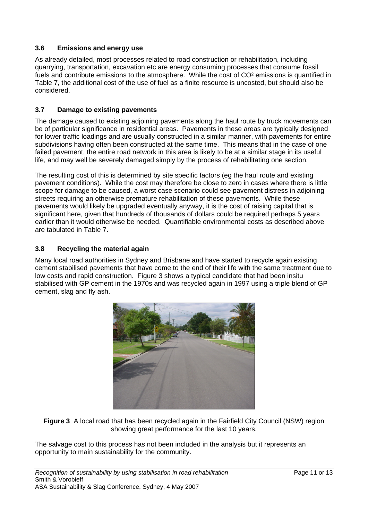### **3.6 Emissions and energy use**

As already detailed, most processes related to road construction or rehabilitation, including quarrying, transportation, excavation etc are energy consuming processes that consume fossil fuels and contribute emissions to the atmosphere. While the cost of CO² emissions is quantified in Table 7, the additional cost of the use of fuel as a finite resource is uncosted, but should also be considered.

#### **3.7 Damage to existing pavements**

The damage caused to existing adjoining pavements along the haul route by truck movements can be of particular significance in residential areas. Pavements in these areas are typically designed for lower traffic loadings and are usually constructed in a similar manner, with pavements for entire subdivisions having often been constructed at the same time. This means that in the case of one failed pavement, the entire road network in this area is likely to be at a similar stage in its useful life, and may well be severely damaged simply by the process of rehabilitating one section.

The resulting cost of this is determined by site specific factors (eg the haul route and existing pavement conditions). While the cost may therefore be close to zero in cases where there is little scope for damage to be caused, a worst case scenario could see pavement distress in adjoining streets requiring an otherwise premature rehabilitation of these pavements. While these pavements would likely be upgraded eventually anyway, it is the cost of raising capital that is significant here, given that hundreds of thousands of dollars could be required perhaps 5 years earlier than it would otherwise be needed. Quantifiable environmental costs as described above are tabulated in Table 7.

### **3.8 Recycling the material again**

Many local road authorities in Sydney and Brisbane and have started to recycle again existing cement stabilised pavements that have come to the end of their life with the same treatment due to low costs and rapid construction. Figure 3 shows a typical candidate that had been insitu stabilised with GP cement in the 1970s and was recycled again in 1997 using a triple blend of GP cement, slag and fly ash.



**Figure 3** A local road that has been recycled again in the Fairfield City Council (NSW) region showing great performance for the last 10 years.

The salvage cost to this process has not been included in the analysis but it represents an opportunity to main sustainability for the community.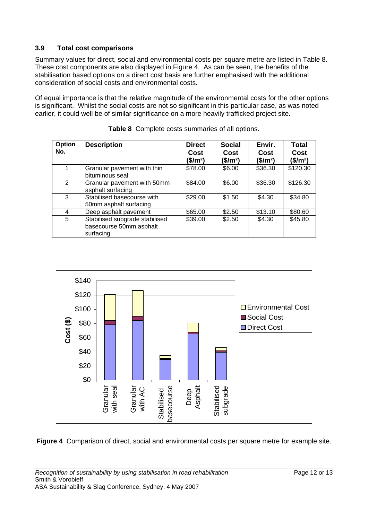### **3.9 Total cost comparisons**

Summary values for direct, social and environmental costs per square metre are listed in Table 8. These cost components are also displayed in Figure 4. As can be seen, the benefits of the stabilisation based options on a direct cost basis are further emphasised with the additional consideration of social costs and environmental costs.

Of equal importance is that the relative magnitude of the environmental costs for the other options is significant. Whilst the social costs are not so significant in this particular case, as was noted earlier, it could well be of similar significance on a more heavily trafficked project site.

| Option<br>No. | <b>Description</b>                                                     | <b>Direct</b><br>Cost<br>(\$/m <sup>2</sup> ) | <b>Social</b><br>Cost<br>(\$/m <sup>2</sup> ) | Envir.<br>Cost<br>(\$/m <sup>2</sup> ) | <b>Total</b><br>Cost<br>(\$/m <sup>2</sup> ) |
|---------------|------------------------------------------------------------------------|-----------------------------------------------|-----------------------------------------------|----------------------------------------|----------------------------------------------|
|               | Granular pavement with thin<br>bituminous seal                         | \$78.00                                       | \$6.00                                        | \$36.30                                | \$120.30                                     |
| $\mathcal{P}$ | Granular pavement with 50mm<br>asphalt surfacing                       | \$84.00                                       | \$6.00                                        | \$36.30                                | \$126.30                                     |
| 3             | Stabilised basecourse with<br>50mm asphalt surfacing                   | \$29.00                                       | \$1.50                                        | \$4.30                                 | \$34.80                                      |
| 4             | Deep asphalt pavement                                                  | \$65.00                                       | \$2.50                                        | \$13.10                                | \$80.60                                      |
| 5             | Stabilised subgrade stabilised<br>basecourse 50mm asphalt<br>surfacing | \$39.00                                       | \$2.50                                        | \$4.30                                 | \$45.80                                      |

**Table 8** Complete costs summaries of all options.



**Figure 4** Comparison of direct, social and environmental costs per square metre for example site.